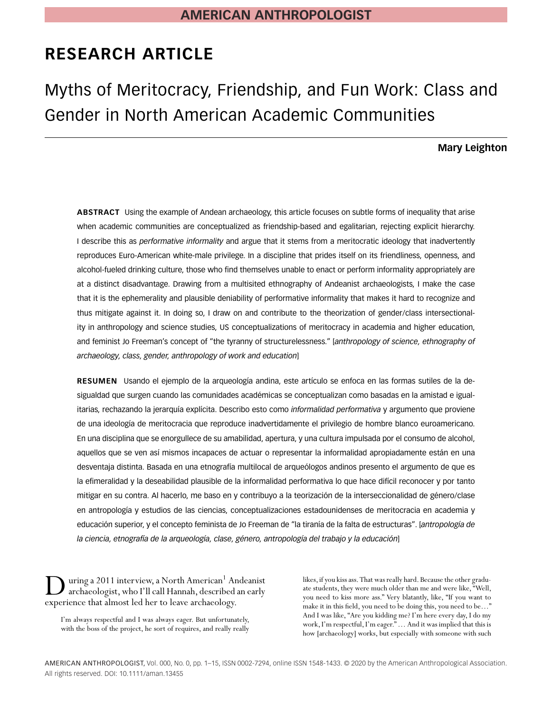# **RESEARCH ARTICLE**

Myths of Meritocracy, Friendship, and Fun Work: Class and Gender in North American Academic Communities

**Mary Leighton**

**ABSTRACT** Using the example of Andean archaeology, this article focuses on subtle forms of inequality that arise when academic communities are conceptualized as friendship-based and egalitarian, rejecting explicit hierarchy. I describe this as *performative informality* and argue that it stems from a meritocratic ideology that inadvertently reproduces Euro-American white-male privilege. In a discipline that prides itself on its friendliness, openness, and alcohol-fueled drinking culture, those who find themselves unable to enact or perform informality appropriately are at a distinct disadvantage. Drawing from a multisited ethnography of Andeanist archaeologists, I make the case that it is the ephemerality and plausible deniability of performative informality that makes it hard to recognize and thus mitigate against it. In doing so, I draw on and contribute to the theorization of gender/class intersectionality in anthropology and science studies, US conceptualizations of meritocracy in academia and higher education, and feminist Jo Freeman's concept of "the tyranny of structurelessness." [*anthropology of science, ethnography of archaeology, class, gender, anthropology of work and education*]

**RESUMEN** Usando el ejemplo de la arqueología andina, este artículo se enfoca en las formas sutiles de la desigualdad que surgen cuando las comunidades académicas se conceptualizan como basadas en la amistad e igualitarias, rechazando la jerarquía explícita. Describo esto como *informalidad performativa* y argumento que proviene de una ideología de meritocracia que reproduce inadvertidamente el privilegio de hombre blanco euroamericano. En una disciplina que se enorgullece de su amabilidad, apertura, y una cultura impulsada por el consumo de alcohol, aquellos que se ven así mismos incapaces de actuar o representar la informalidad apropiadamente están en una desventaja distinta. Basada en una etnografía multilocal de arqueólogos andinos presento el argumento de que es la efimeralidad y la deseabilidad plausible de la informalidad performativa lo que hace difícil reconocer y por tanto mitigar en su contra. Al hacerlo, me baso en y contribuyo a la teorización de la interseccionalidad de género/clase en antropología y estudios de las ciencias, conceptualizaciones estadounidenses de meritocracia en academia y educación superior, y el concepto feminista de Jo Freeman de "la tiranía de la falta de estructuras". [*antropología de la ciencia, etnografía de la arqueología, clase, género, antropología del trabajo y la educación*]

uring a 2011 interview, a North American<sup>1</sup> Andeanist archaeologist, who I'll call Hannah, described an early experience that almost led her to leave archaeology.

I'm always respectful and I was always eager. But unfortunately, with the boss of the project, he sort of requires, and really really likes, if you kiss ass. That was really hard. Because the other graduate students, they were much older than me and were like, "Well, you need to kiss more ass." Very blatantly, like, "If you want to make it in this field, you need to be doing this, you need to be…" And I was like, "Are you kidding me? I'm here every day, I do my work, I'm respectful, I'm eager."… And it was implied that this is how [archaeology] works, but especially with someone with such

AMERICAN ANTHROPOLOGIST, Vol. 000, No. 0, pp. 1–15, ISSN 0002-7294, online ISSN 1548-1433. © 2020 by the American Anthropological Association. All rights reserved. DOI: 10.1111/aman.13455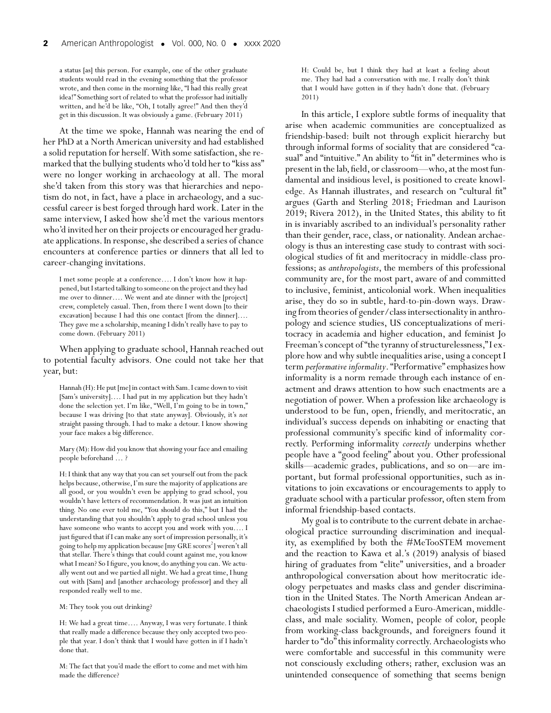a status [as] this person. For example, one of the other graduate students would read in the evening something that the professor wrote, and then come in the morning like, "I had this really great idea!" Something sort of related to what the professor had initially written, and he'd be like, "Oh, I totally agree!" And then they'd get in this discussion. It was obviously a game. (February 2011)

At the time we spoke, Hannah was nearing the end of her PhD at a North American university and had established a solid reputation for herself.With some satisfaction, she remarked that the bullying students who'd told her to "kiss ass" were no longer working in archaeology at all. The moral she'd taken from this story was that hierarchies and nepotism do not, in fact, have a place in archaeology, and a successful career is best forged through hard work. Later in the same interview, I asked how she'd met the various mentors who'd invited her on their projects or encouraged her graduate applications. In response, she described a series of chance encounters at conference parties or dinners that all led to career-changing invitations.

I met some people at a conference…. I don't know how it happened, but I started talking to someone on the project and they had me over to dinner…. We went and ate dinner with the [project] crew, completely casual. Then, from there I went down [to their excavation] because I had this one contact [from the dinner]…. They gave me a scholarship, meaning I didn't really have to pay to come down. (February 2011)

When applying to graduate school, Hannah reached out to potential faculty advisors. One could not take her that year, but:

Hannah (H): He put [me] in contact with Sam. I came down to visit [Sam's university]…. I had put in my application but they hadn't done the selection yet. I'm like, "Well, I'm going to be in town," because I was driving [to that state anyway]. Obviously, it's *not* straight passing through. I had to make a detour. I know showing your face makes a big difference.

Mary (M): How did you know that showing your face and emailing people beforehand … ?

H: I think that any way that you can set yourself out from the pack helps because, otherwise, I'm sure the majority of applications are all good, or you wouldn't even be applying to grad school, you wouldn't have letters of recommendation. It was just an intuition thing. No one ever told me, "You should do this," but I had the understanding that you shouldn't apply to grad school unless you have someone who wants to accept you and work with you…. I just figured that if I can make any sort of impression personally, it's going to help my application because [my GRE scores $^2$ ] weren't all that stellar. There's things that could count against me, you know what I mean? So I figure, you know, do anything you can. We actually went out and we partied all night.We had a great time, I hung out with [Sam] and [another archaeology professor] and they all responded really well to me.

M: They took you out drinking?

H: We had a great time…. Anyway, I was very fortunate. I think that really made a difference because they only accepted two people that year. I don't think that I would have gotten in if I hadn't done that.

M: The fact that you'd made the effort to come and met with him made the difference?

H: Could be, but I think they had at least a feeling about me. They had had a conversation with me. I really don't think that I would have gotten in if they hadn't done that. (February 2011)

In this article, I explore subtle forms of inequality that arise when academic communities are conceptualized as friendship-based: built not through explicit hierarchy but through informal forms of sociality that are considered "casual" and "intuitive." An ability to "fit in" determines who is present in the lab, field, or classroom—who, at the most fundamental and insidious level, is positioned to create knowledge. As Hannah illustrates, and research on "cultural fit" argues (Garth and Sterling 2018; Friedman and Laurison 2019; Rivera 2012), in the United States, this ability to fit in is invariably ascribed to an individual's personality rather than their gender, race, class, or nationality. Andean archaeology is thus an interesting case study to contrast with sociological studies of fit and meritocracy in middle-class professions; as *anthropologists*, the members of this professional community are, for the most part, aware of and committed to inclusive, feminist, anticolonial work. When inequalities arise, they do so in subtle, hard-to-pin-down ways. Drawing from theories of gender/class intersectionality in anthropology and science studies, US conceptualizations of meritocracy in academia and higher education, and feminist Jo Freeman's concept of "the tyranny of structurelessness,"I explore how and why subtle inequalities arise, using a concept I term *performative informality*. "Performative" emphasizes how informality is a norm remade through each instance of enactment and draws attention to how such enactments are a negotiation of power. When a profession like archaeology is understood to be fun, open, friendly, and meritocratic, an individual's success depends on inhabiting or enacting that professional community's specific kind of informality correctly. Performing informality *correctly* underpins whether people have a "good feeling" about you. Other professional skills—academic grades, publications, and so on—are important, but formal professional opportunities, such as invitations to join excavations or encouragements to apply to graduate school with a particular professor, often stem from informal friendship-based contacts.

My goal is to contribute to the current debate in archaeological practice surrounding discrimination and inequality, as exemplified by both the #MeTooSTEM movement and the reaction to Kawa et al.'s (2019) analysis of biased hiring of graduates from "elite" universities, and a broader anthropological conversation about how meritocratic ideology perpetuates and masks class and gender discrimination in the United States. The North American Andean archaeologists I studied performed a Euro-American, middleclass, and male sociality. Women, people of color, people from working-class backgrounds, and foreigners found it harder to "do" this informality correctly. Archaeologists who were comfortable and successful in this community were not consciously excluding others; rather, exclusion was an unintended consequence of something that seems benign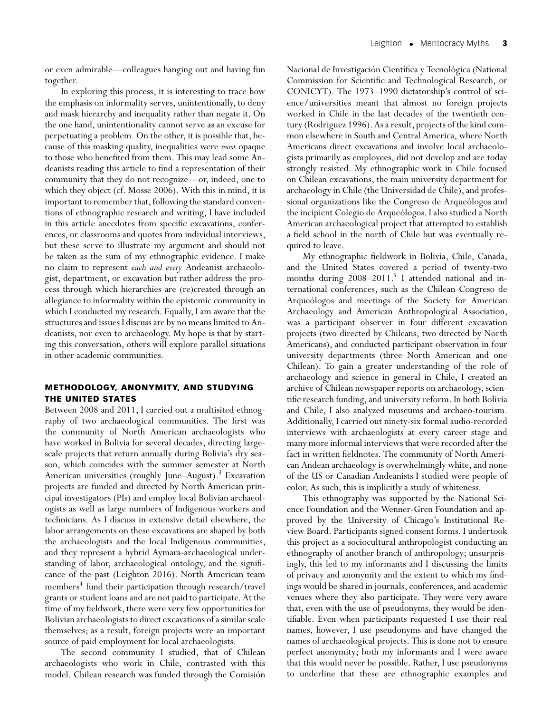or even admirable—colleagues hanging out and having fun together.

In exploring this process, it is interesting to trace how the emphasis on informality serves, unintentionally, to deny and mask hierarchy and inequality rather than negate it. On the one hand, unintentionality cannot serve as an excuse for perpetuating a problem. On the other, it is possible that, because of this masking quality, inequalities were *most* opaque to those who benefited from them. This may lead some Andeanists reading this article to find a representation of their community that they do not recognize—or, indeed, one to which they object (cf. Mosse 2006). With this in mind, it is important to remember that, following the standard conventions of ethnographic research and writing, I have included in this article anecdotes from specific excavations, conferences, or classrooms and quotes from individual interviews, but these serve to illustrate my argument and should not be taken as the sum of my ethnographic evidence. I make no claim to represent *each and every* Andeanist archaeologist, department, or excavation but rather address the process through which hierarchies are (re)created through an allegiance to informality within the epistemic community in which I conducted my research. Equally, I am aware that the structures and issues I discuss are by no means limited to Andeanists, nor even to archaeology. My hope is that by starting this conversation, others will explore parallel situations in other academic communities.

## **METHODOLOGY, ANONYMITY, AND STUDYING THE UNITED STATES**

Between 2008 and 2011, I carried out a multisited ethnography of two archaeological communities. The first was the community of North American archaeologists who have worked in Bolivia for several decades, directing largescale projects that return annually during Bolivia's dry season, which coincides with the summer semester at North American universities (roughly June–August).<sup>3</sup> Excavation projects are funded and directed by North American principal investigators (PIs) and employ local Bolivian archaeologists as well as large numbers of Indigenous workers and technicians. As I discuss in extensive detail elsewhere, the labor arrangements on these excavations are shaped by both the archaeologists and the local Indigenous communities, and they represent a hybrid Aymara-archaeological understanding of labor, archaeological ontology, and the significance of the past (Leighton 2016). North American team members<sup>4</sup> fund their participation through research/travel grants or student loans and are not paid to participate. At the time of my fieldwork, there were very few opportunities for Bolivian archaeologists to direct excavations of a similar scale themselves; as a result, foreign projects were an important source of paid employment for local archaeologists.

The second community I studied, that of Chilean archaeologists who work in Chile, contrasted with this model. Chilean research was funded through the Comisión

Nacional de Investigación Científica y Tecnológica (National Commission for Scientific and Technological Research, or CONICYT). The 1973–1990 dictatorship's control of science/universities meant that almost no foreign projects worked in Chile in the last decades of the twentieth century (Rodriguez 1996). As a result, projects of the kind common elsewhere in South and Central America, where North Americans direct excavations and involve local archaeologists primarily as employees, did not develop and are today strongly resisted. My ethnographic work in Chile focused on Chilean excavations, the main university department for archaeology in Chile (the Universidad de Chile), and professional organizations like the Congreso de Arqueólogos and the incipient Colegio de Arqueólogos. I also studied a North American archaeological project that attempted to establish a field school in the north of Chile but was eventually required to leave.

My ethnographic fieldwork in Bolivia, Chile, Canada, and the United States covered a period of twenty-two months during  $2008-2011$ .<sup>5</sup> I attended national and international conferences, such as the Chilean Congreso de Arqueólogos and meetings of the Society for American Archaeology and American Anthropological Association, was a participant observer in four different excavation projects (two directed by Chileans, two directed by North Americans), and conducted participant observation in four university departments (three North American and one Chilean). To gain a greater understanding of the role of archaeology and science in general in Chile, I created an archive of Chilean newspaper reports on archaeology, scientific research funding, and university reform. In both Bolivia and Chile, I also analyzed museums and archaeo-tourism. Additionally, I carried out ninety-six formal audio-recorded interviews with archaeologists at every career stage and many more informal interviews that were recorded after the fact in written fieldnotes. The community of North American Andean archaeology is overwhelmingly white, and none of the US or Canadian Andeanists I studied were people of color. As such, this is implicitly a study of whiteness.

This ethnography was supported by the National Science Foundation and the Wenner-Gren Foundation and approved by the University of Chicago's Institutional Review Board. Participants signed consent forms. I undertook this project as a sociocultural anthropologist conducting an ethnography of another branch of anthropology; unsurprisingly, this led to my informants and I discussing the limits of privacy and anonymity and the extent to which my findings would be shared in journals, conferences, and academic venues where they also participate. They were very aware that, even with the use of pseudonyms, they would be identifiable. Even when participants requested I use their real names, however, I use pseudonyms and have changed the names of archaeological projects. This is done not to ensure perfect anonymity; both my informants and I were aware that this would never be possible. Rather, I use pseudonyms to underline that these are ethnographic examples and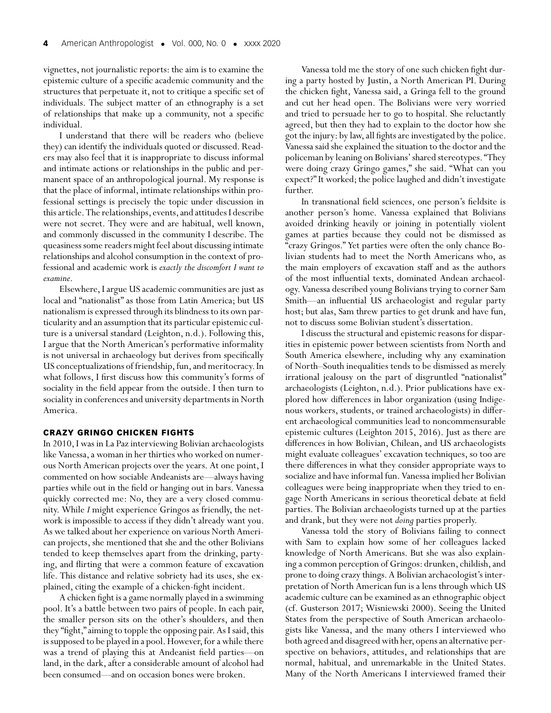vignettes, not journalistic reports: the aim is to examine the epistemic culture of a specific academic community and the structures that perpetuate it, not to critique a specific set of individuals. The subject matter of an ethnography is a set of relationships that make up a community, not a specific individual.

I understand that there will be readers who (believe they) can identify the individuals quoted or discussed. Readers may also feel that it is inappropriate to discuss informal and intimate actions or relationships in the public and permanent space of an anthropological journal. My response is that the place of informal, intimate relationships within professional settings is precisely the topic under discussion in this article. The relationships, events, and attitudes I describe were not secret. They were and are habitual, well known, and commonly discussed in the community I describe. The queasiness some readers might feel about discussing intimate relationships and alcohol consumption in the context of professional and academic work is *exactly the discomfort I want to examine*.

Elsewhere, I argue US academic communities are just as local and "nationalist" as those from Latin America; but US nationalism is expressed through its blindness to its own particularity and an assumption that its particular epistemic culture is a universal standard (Leighton, n.d.). Following this, I argue that the North American's performative informality is not universal in archaeology but derives from specifically US conceptualizations of friendship, fun, and meritocracy. In what follows, I first discuss how this community's forms of sociality in the field appear from the outside. I then turn to sociality in conferences and university departments in North America.

#### **CRAZY GRINGO CHICKEN FIGHTS**

In 2010, I was in La Paz interviewing Bolivian archaeologists like Vanessa, a woman in her thirties who worked on numerous North American projects over the years. At one point, I commented on how sociable Andeanists are—always having parties while out in the field or hanging out in bars. Vanessa quickly corrected me: No, they are a very closed community. While *I* might experience Gringos as friendly, the network is impossible to access if they didn't already want you. As we talked about her experience on various North American projects, she mentioned that she and the other Bolivians tended to keep themselves apart from the drinking, partying, and flirting that were a common feature of excavation life. This distance and relative sobriety had its uses, she explained, citing the example of a chicken-fight incident.

A chicken fight is a game normally played in a swimming pool. It's a battle between two pairs of people. In each pair, the smaller person sits on the other's shoulders, and then they "fight," aiming to topple the opposing pair. As I said, this is supposed to be played in a pool. However, for a while there was a trend of playing this at Andeanist field parties—on land, in the dark, after a considerable amount of alcohol had been consumed—and on occasion bones were broken.

Vanessa told me the story of one such chicken fight during a party hosted by Justin, a North American PI. During the chicken fight, Vanessa said, a Gringa fell to the ground and cut her head open. The Bolivians were very worried and tried to persuade her to go to hospital. She reluctantly agreed, but then they had to explain to the doctor how she got the injury: by law, all fights are investigated by the police. Vanessa said she explained the situation to the doctor and the policeman by leaning on Bolivians' shared stereotypes. "They were doing crazy Gringo games," she said. "What can you expect?" It worked; the police laughed and didn't investigate further.

In transnational field sciences, one person's fieldsite is another person's home. Vanessa explained that Bolivians avoided drinking heavily or joining in potentially violent games at parties because they could not be dismissed as "crazy Gringos." Yet parties were often the only chance Bolivian students had to meet the North Americans who, as the main employers of excavation staff and as the authors of the most influential texts, dominated Andean archaeology. Vanessa described young Bolivians trying to corner Sam Smith—an influential US archaeologist and regular party host; but alas, Sam threw parties to get drunk and have fun, not to discuss some Bolivian student's dissertation.

I discuss the structural and epistemic reasons for disparities in epistemic power between scientists from North and South America elsewhere, including why any examination of North–South inequalities tends to be dismissed as merely irrational jealousy on the part of disgruntled "nationalist" archaeologists (Leighton, n.d.). Prior publications have explored how differences in labor organization (using Indigenous workers, students, or trained archaeologists) in different archaeological communities lead to noncommensurable epistemic cultures (Leighton 2015, 2016). Just as there are differences in how Bolivian, Chilean, and US archaeologists might evaluate colleagues' excavation techniques, so too are there differences in what they consider appropriate ways to socialize and have informal fun. Vanessa implied her Bolivian colleagues were being inappropriate when they tried to engage North Americans in serious theoretical debate at field parties. The Bolivian archaeologists turned up at the parties and drank, but they were not *doing* parties properly.

Vanessa told the story of Bolivians failing to connect with Sam to explain how some of her colleagues lacked knowledge of North Americans. But she was also explaining a common perception of Gringos: drunken, childish, and prone to doing crazy things. A Bolivian archaeologist's interpretation of North American fun is a lens through which US academic culture can be examined as an ethnographic object (cf. Gusterson 2017; Wisniewski 2000). Seeing the United States from the perspective of South American archaeologists like Vanessa, and the many others I interviewed who both agreed and disagreed with her, opens an alternative perspective on behaviors, attitudes, and relationships that are normal, habitual, and unremarkable in the United States. Many of the North Americans I interviewed framed their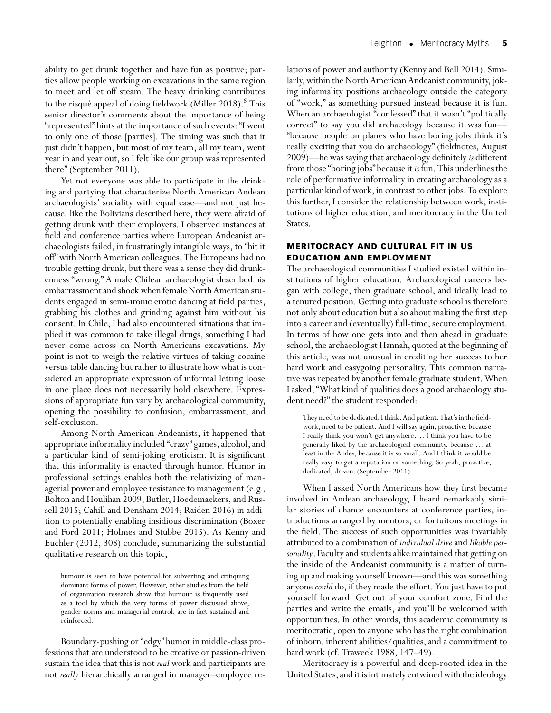ability to get drunk together and have fun as positive; parties allow people working on excavations in the same region to meet and let off steam. The heavy drinking contributes to the risqué appeal of doing fieldwork (Miller 2018).<sup>6</sup> This senior director's comments about the importance of being "represented" hints at the importance of such events: "I went to only one of those [parties]. The timing was such that it just didn't happen, but most of my team, all my team, went year in and year out, so I felt like our group was represented there" (September 2011).

Yet not everyone was able to participate in the drinking and partying that characterize North American Andean archaeologists' sociality with equal ease—and not just because, like the Bolivians described here, they were afraid of getting drunk with their employers. I observed instances at field and conference parties where European Andeanist archaeologists failed, in frustratingly intangible ways, to "hit it off" with North American colleagues. The Europeans had no trouble getting drunk, but there was a sense they did drunkenness "wrong." A male Chilean archaeologist described his embarrassment and shock when female North American students engaged in semi-ironic erotic dancing at field parties, grabbing his clothes and grinding against him without his consent. In Chile, I had also encountered situations that implied it was common to take illegal drugs, something I had never come across on North Americans excavations. My point is not to weigh the relative virtues of taking cocaine versus table dancing but rather to illustrate how what is considered an appropriate expression of informal letting loose in one place does not necessarily hold elsewhere. Expressions of appropriate fun vary by archaeological community, opening the possibility to confusion, embarrassment, and self-exclusion.

Among North American Andeanists, it happened that appropriate informality included "crazy" games, alcohol, and a particular kind of semi-joking eroticism. It is significant that this informality is enacted through humor. Humor in professional settings enables both the relativizing of managerial power and employee resistance to management (e.g., Bolton and Houlihan 2009; Butler, Hoedemaekers, and Russell 2015; Cahill and Densham 2014; Raiden 2016) in addition to potentially enabling insidious discrimination (Boxer and Ford 2011; Holmes and Stubbe 2015). As Kenny and Euchler (2012, 308) conclude, summarizing the substantial qualitative research on this topic,

humour is seen to have potential for subverting and critiquing dominant forms of power. However, other studies from the field of organization research show that humour is frequently used as a tool by which the very forms of power discussed above, gender norms and managerial control, are in fact sustained and reinforced.

Boundary-pushing or "edgy" humor in middle-class professions that are understood to be creative or passion-driven sustain the idea that this is not *real* work and participants are not *really* hierarchically arranged in manager–employee relations of power and authority (Kenny and Bell 2014). Similarly, within the North American Andeanist community, joking informality positions archaeology outside the category of "work," as something pursued instead because it is fun. When an archaeologist "confessed" that it wasn't "politically correct" to say you did archaeology because it was fun— "because people on planes who have boring jobs think it's really exciting that you do archaeology" (fieldnotes, August 2009)—he was saying that archaeology definitely *is* different from those "boring jobs" because it *is* fun. This underlines the role of performative informality in creating archaeology as a particular kind of work, in contrast to other jobs. To explore this further, I consider the relationship between work, institutions of higher education, and meritocracy in the United States.

# **MERITOCRACY AND CULTURAL FIT IN US EDUCATION AND EMPLOYMENT**

The archaeological communities I studied existed within institutions of higher education. Archaeological careers began with college, then graduate school, and ideally lead to a tenured position. Getting into graduate school is therefore not only about education but also about making the first step into a career and (eventually) full-time, secure employment. In terms of how one gets into and then ahead in graduate school, the archaeologist Hannah, quoted at the beginning of this article, was not unusual in crediting her success to her hard work and easygoing personality. This common narrative was repeated by another female graduate student.When I asked, "What kind of qualities does a good archaeology student need?" the student responded:

They need to be dedicated, I think. And patient. That's in the fieldwork, need to be patient. And I will say again, proactive, because I really think you won't get anywhere…. I think you have to be generally liked by the archaeological community, because … at least in the Andes, because it is so small. And I think it would be really easy to get a reputation or something. So yeah, proactive, dedicated, driven. (September 2011)

When I asked North Americans how they first became involved in Andean archaeology, I heard remarkably similar stories of chance encounters at conference parties, introductions arranged by mentors, or fortuitous meetings in the field. The success of such opportunities was invariably attributed to a combination of *individual drive* and *likable personality*. Faculty and students alike maintained that getting on the inside of the Andeanist community is a matter of turning up and making yourself known—and this was something anyone *could* do, if they made the effort. You just have to put yourself forward. Get out of your comfort zone. Find the parties and write the emails, and you'll be welcomed with opportunities. In other words, this academic community is meritocratic, open to anyone who has the right combination of inborn, inherent abilities/qualities, and a commitment to hard work (cf. Traweek 1988, 147–49).

Meritocracy is a powerful and deep-rooted idea in the United States, and it is intimately entwined with the ideology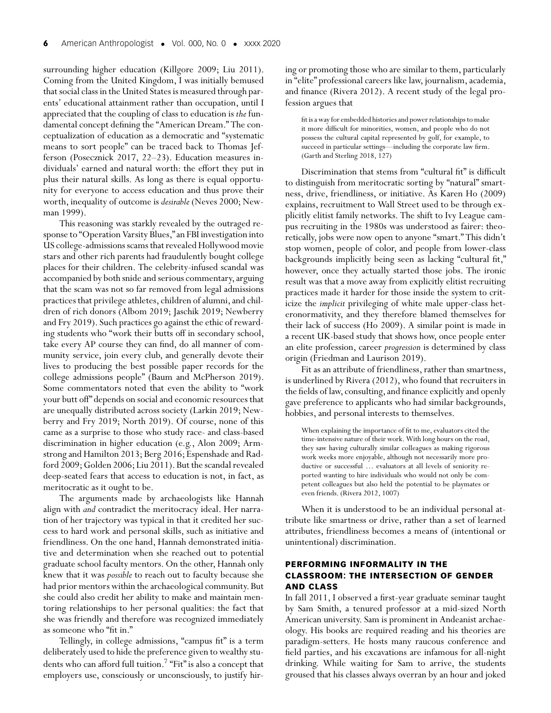surrounding higher education (Killgore 2009; Liu 2011). Coming from the United Kingdom, I was initially bemused that social class in the United States is measured through parents' educational attainment rather than occupation, until I appreciated that the coupling of class to education is *the* fundamental concept defining the "American Dream." The conceptualization of education as a democratic and "systematic means to sort people" can be traced back to Thomas Jefferson (Posecznick 2017, 22–23). Education measures individuals' earned and natural worth: the effort they put in plus their natural skills. As long as there is equal opportunity for everyone to access education and thus prove their worth, inequality of outcome is *desirable* (Neves 2000; Newman 1999).

This reasoning was starkly revealed by the outraged response to "Operation Varsity Blues," an FBI investigation into US college-admissions scams that revealed Hollywood movie stars and other rich parents had fraudulently bought college places for their children. The celebrity-infused scandal was accompanied by both snide and serious commentary, arguing that the scam was not so far removed from legal admissions practices that privilege athletes, children of alumni, and children of rich donors (Albom 2019; Jaschik 2019; Newberry and Fry 2019). Such practices go against the ethic of rewarding students who "work their butts off in secondary school, take every AP course they can find, do all manner of community service, join every club, and generally devote their lives to producing the best possible paper records for the college admissions people" (Baum and McPherson 2019). Some commentators noted that even the ability to "work your butt off" depends on social and economic resources that are unequally distributed across society (Larkin 2019; Newberry and Fry 2019; North 2019). Of course, none of this came as a surprise to those who study race- and class-based discrimination in higher education (e.g., Alon 2009; Armstrong and Hamilton 2013; Berg 2016; Espenshade and Radford 2009; Golden 2006; Liu 2011). But the scandal revealed deep-seated fears that access to education is not, in fact, as meritocratic as it ought to be.

The arguments made by archaeologists like Hannah align with *and* contradict the meritocracy ideal. Her narration of her trajectory was typical in that it credited her success to hard work and personal skills, such as initiative and friendliness. On the one hand, Hannah demonstrated initiative and determination when she reached out to potential graduate school faculty mentors. On the other, Hannah only knew that it was *possible* to reach out to faculty because she had prior mentors within the archaeological community. But she could also credit her ability to make and maintain mentoring relationships to her personal qualities: the fact that she was friendly and therefore was recognized immediately as someone who "fit in."

Tellingly, in college admissions, "campus fit" is a term deliberately used to hide the preference given to wealthy students who can afford full tuition.<sup>7</sup> "Fit" is also a concept that employers use, consciously or unconsciously, to justify hiring or promoting those who are similar to them, particularly in "elite" professional careers like law, journalism, academia, and finance (Rivera 2012). A recent study of the legal profession argues that

fit is a way for embedded histories and power relationships to make it more difficult for minorities, women, and people who do not possess the cultural capital represented by golf, for example, to succeed in particular settings—including the corporate law firm. (Garth and Sterling 2018, 127)

Discrimination that stems from "cultural fit" is difficult to distinguish from meritocratic sorting by "natural" smartness, drive, friendliness, or initiative. As Karen Ho (2009) explains, recruitment to Wall Street used to be through explicitly elitist family networks. The shift to Ivy League campus recruiting in the 1980s was understood as fairer: theoretically, jobs were now open to anyone "smart." This didn't stop women, people of color, and people from lower-class backgrounds implicitly being seen as lacking "cultural fit," however, once they actually started those jobs. The ironic result was that a move away from explicitly elitist recruiting practices made it harder for those inside the system to criticize the *implicit* privileging of white male upper-class heteronormativity, and they therefore blamed themselves for their lack of success (Ho 2009). A similar point is made in a recent UK-based study that shows how, once people enter an elite profession, career *progression* is determined by class origin (Friedman and Laurison 2019).

Fit as an attribute of friendliness, rather than smartness, is underlined by Rivera (2012), who found that recruiters in the fields of law, consulting, and finance explicitly and openly gave preference to applicants who had similar backgrounds, hobbies, and personal interests to themselves.

When explaining the importance of fit to me, evaluators cited the time-intensive nature of their work. With long hours on the road, they saw having culturally similar colleagues as making rigorous work weeks more enjoyable, although not necessarily more productive or successful … evaluators at all levels of seniority reported wanting to hire individuals who would not only be competent colleagues but also held the potential to be playmates or even friends. (Rivera 2012, 1007)

When it is understood to be an individual personal attribute like smartness or drive, rather than a set of learned attributes, friendliness becomes a means of (intentional or unintentional) discrimination.

# **PERFORMING INFORMALITY IN THE CLASSROOM: THE INTERSECTION OF GENDER AND CLASS**

In fall 2011, I observed a first-year graduate seminar taught by Sam Smith, a tenured professor at a mid-sized North American university. Sam is prominent in Andeanist archaeology. His books are required reading and his theories are paradigm-setters. He hosts many raucous conference and field parties, and his excavations are infamous for all-night drinking. While waiting for Sam to arrive, the students groused that his classes always overran by an hour and joked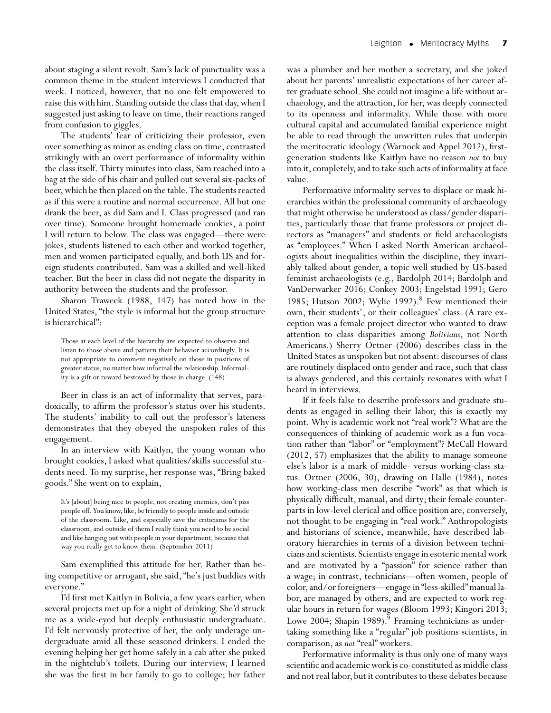about staging a silent revolt. Sam's lack of punctuality was a common theme in the student interviews I conducted that week. I noticed, however, that no one felt empowered to raise this with him. Standing outside the class that day,when I suggested just asking to leave on time, their reactions ranged from confusion to giggles.

The students' fear of criticizing their professor, even over something as minor as ending class on time, contrasted strikingly with an overt performance of informality within the class itself. Thirty minutes into class, Sam reached into a bag at the side of his chair and pulled out several six-packs of beer, which he then placed on the table. The students reacted as if this were a routine and normal occurrence. All but one drank the beer, as did Sam and I. Class progressed (and ran over time). Someone brought homemade cookies, a point I will return to below. The class was engaged—there were jokes, students listened to each other and worked together, men and women participated equally, and both US and foreign students contributed. Sam was a skilled and well-liked teacher. But the beer in class did not negate the disparity in authority between the students and the professor.

Sharon Traweek (1988, 147) has noted how in the United States, "the style is informal but the group structure is hierarchical":

Those at each level of the hierarchy are expected to observe and listen to those above and pattern their behavior accordingly. It is not appropriate to comment negatively on those in positions of greater status, no matter how informal the relationship. Informality is a gift or reward bestowed by those in charge. (148)

Beer in class is an act of informality that serves, paradoxically, to affirm the professor's status over his students. The students' inability to call out the professor's lateness demonstrates that they obeyed the unspoken rules of this engagement.

In an interview with Kaitlyn, the young woman who brought cookies, I asked what qualities/skills successful students need. To my surprise, her response was, "Bring baked goods." She went on to explain,

It's [about] being nice to people, not creating enemies, don't piss people off. You know, like, be friendly to people inside and outside of the classroom. Like, and especially save the criticisms for the classroom, and outside of them I really think you need to be social and like hanging out with people in your department, because that way you really get to know them. (September 2011)

Sam exemplified this attitude for her. Rather than being competitive or arrogant, she said, "he's just buddies with everyone."

I'd first met Kaitlyn in Bolivia, a few years earlier, when several projects met up for a night of drinking. She'd struck me as a wide-eyed but deeply enthusiastic undergraduate. I'd felt nervously protective of her, the only underage undergraduate amid all these seasoned drinkers. I ended the evening helping her get home safely in a cab after she puked in the nightclub's toilets. During our interview, I learned she was the first in her family to go to college; her father

was a plumber and her mother a secretary, and she joked about her parents' unrealistic expectations of her career after graduate school. She could not imagine a life without archaeology, and the attraction, for her, was deeply connected to its openness and informality. While those with more cultural capital and accumulated familial experience might be able to read through the unwritten rules that underpin the meritocratic ideology (Warnock and Appel 2012), firstgeneration students like Kaitlyn have no reason *not* to buy into it, completely, and to take such acts of informality at face value.

Performative informality serves to displace or mask hierarchies within the professional community of archaeology that might otherwise be understood as class/gender disparities, particularly those that frame professors or project directors as "managers" and students or field archaeologists as "employees." When I asked North American archaeologists about inequalities within the discipline, they invariably talked about gender, a topic well studied by US-based feminist archaeologists (e.g., Bardolph 2014; Bardolph and VanDerwarker 2016; Conkey 2003; Engelstad 1991; Gero 1985; Hutson 2002; Wylie 1992). $8$  Few mentioned their own, their students', or their colleagues' class. (A rare exception was a female project director who wanted to draw attention to class disparities among *Bolivians*, not North Americans.) Sherry Ortner (2006) describes class in the United States as unspoken but not absent: discourses of class are routinely displaced onto gender and race, such that class is always gendered, and this certainly resonates with what I heard in interviews.

If it feels false to describe professors and graduate students as engaged in selling their labor, this is exactly my point. Why is academic work not "real work"? What are the consequences of thinking of academic work as a fun vocation rather than "labor" or "employment"? McCall Howard (2012, 57) emphasizes that the ability to manage someone else's labor is a mark of middle- versus working-class status. Ortner (2006, 30), drawing on Halle (1984), notes how working-class men describe "work" as that which is physically difficult, manual, and dirty; their female counterparts in low-level clerical and office position are, conversely, not thought to be engaging in "real work." Anthropologists and historians of science, meanwhile, have described laboratory hierarchies in terms of a division between technicians and scientists. Scientists engage in esoteric mental work and are motivated by a "passion" for science rather than a wage; in contrast, technicians—often women, people of color, and/or foreigners—engage in "less-skilled"manual labor, are managed by others, and are expected to work regular hours in return for wages (Bloom 1993; Kingori 2013; Lowe 2004; Shapin 1989). $9$  Framing technicians as undertaking something like a "regular" job positions scientists, in comparison, as *not* "real" workers.

Performative informality is thus only one of many ways scientific and academic work is co-constituted as middle class and not real labor, but it contributes to these debates because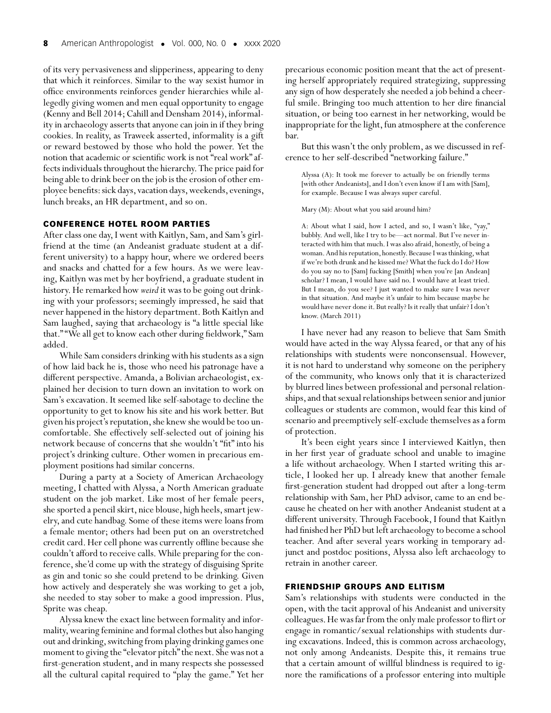of its very pervasiveness and slipperiness, appearing to deny that which it reinforces. Similar to the way sexist humor in office environments reinforces gender hierarchies while allegedly giving women and men equal opportunity to engage (Kenny and Bell 2014; Cahill and Densham 2014), informality in archaeology asserts that anyone can join in if they bring cookies. In reality, as Traweek asserted, informality is a gift or reward bestowed by those who hold the power. Yet the notion that academic or scientific work is not "real work" affects individuals throughout the hierarchy. The price paid for being able to drink beer on the job is the erosion of other employee benefits: sick days, vacation days,weekends, evenings, lunch breaks, an HR department, and so on.

### **CONFERENCE HOTEL ROOM PARTIES**

After class one day, I went with Kaitlyn, Sam, and Sam's girlfriend at the time (an Andeanist graduate student at a different university) to a happy hour, where we ordered beers and snacks and chatted for a few hours. As we were leaving, Kaitlyn was met by her boyfriend, a graduate student in history. He remarked how *weird*it was to be going out drinking with your professors; seemingly impressed, he said that never happened in the history department. Both Kaitlyn and Sam laughed, saying that archaeology is "a little special like that." "We all get to know each other during fieldwork," Sam added.

While Sam considers drinking with his students as a sign of how laid back he is, those who need his patronage have a different perspective. Amanda, a Bolivian archaeologist, explained her decision to turn down an invitation to work on Sam's excavation. It seemed like self-sabotage to decline the opportunity to get to know his site and his work better. But given his project's reputation, she knew she would be too uncomfortable. She effectively self-selected out of joining his network because of concerns that she wouldn't "fit" into his project's drinking culture. Other women in precarious employment positions had similar concerns.

During a party at a Society of American Archaeology meeting, I chatted with Alyssa, a North American graduate student on the job market. Like most of her female peers, she sported a pencil skirt, nice blouse, high heels, smart jewelry, and cute handbag. Some of these items were loans from a female mentor; others had been put on an overstretched credit card. Her cell phone was currently offline because she couldn't afford to receive calls.While preparing for the conference, she'd come up with the strategy of disguising Sprite as gin and tonic so she could pretend to be drinking. Given how actively and desperately she was working to get a job, she needed to stay sober to make a good impression. Plus, Sprite was cheap.

Alyssa knew the exact line between formality and informality, wearing feminine and formal clothes but also hanging out and drinking, switching from playing drinking games one moment to giving the "elevator pitch"the next. She was not a first-generation student, and in many respects she possessed all the cultural capital required to "play the game." Yet her

precarious economic position meant that the act of presenting herself appropriately required strategizing, suppressing any sign of how desperately she needed a job behind a cheerful smile. Bringing too much attention to her dire financial situation, or being too earnest in her networking, would be inappropriate for the light, fun atmosphere at the conference bar.

But this wasn't the only problem, as we discussed in reference to her self-described "networking failure."

Alyssa (A): It took me forever to actually be on friendly terms [with other Andeanists], and I don't even know if I am with [Sam], for example. Because I was always super careful.

Mary (M): About what you said around him?

A: About what I said, how I acted, and so, I wasn't like, "yay," bubbly. And well, like I try to be—act normal. But I've never interacted with him that much. I was also afraid, honestly, of being a woman.And his reputation, honestly. Because I was thinking,what if we're both drunk and he kissed me? What the fuck do I do? How do you say no to [Sam] fucking [Smith] when you're [an Andean] scholar? I mean, I would have said no. I would have at least tried. But I mean, do you see? I just wanted to make sure I was never in that situation. And maybe it's unfair to him because maybe he would have never done it. But really? Is it really that unfair? I don't know. (March 2011)

I have never had any reason to believe that Sam Smith would have acted in the way Alyssa feared, or that any of his relationships with students were nonconsensual. However, it is not hard to understand why someone on the periphery of the community, who knows only that it is characterized by blurred lines between professional and personal relationships, and that sexual relationships between senior and junior colleagues or students are common, would fear this kind of scenario and preemptively self-exclude themselves as a form of protection.

It's been eight years since I interviewed Kaitlyn, then in her first year of graduate school and unable to imagine a life without archaeology. When I started writing this article, I looked her up. I already knew that another female first-generation student had dropped out after a long-term relationship with Sam, her PhD advisor, came to an end because he cheated on her with another Andeanist student at a different university. Through Facebook, I found that Kaitlyn had finished her PhD but left archaeology to become a school teacher. And after several years working in temporary adjunct and postdoc positions, Alyssa also left archaeology to retrain in another career.

#### **FRIENDSHIP GROUPS AND ELITISM**

Sam's relationships with students were conducted in the open, with the tacit approval of his Andeanist and university colleagues.He was far from the only male professor to flirt or engage in romantic/sexual relationships with students during excavations. Indeed, this is common across archaeology, not only among Andeanists. Despite this, it remains true that a certain amount of willful blindness is required to ignore the ramifications of a professor entering into multiple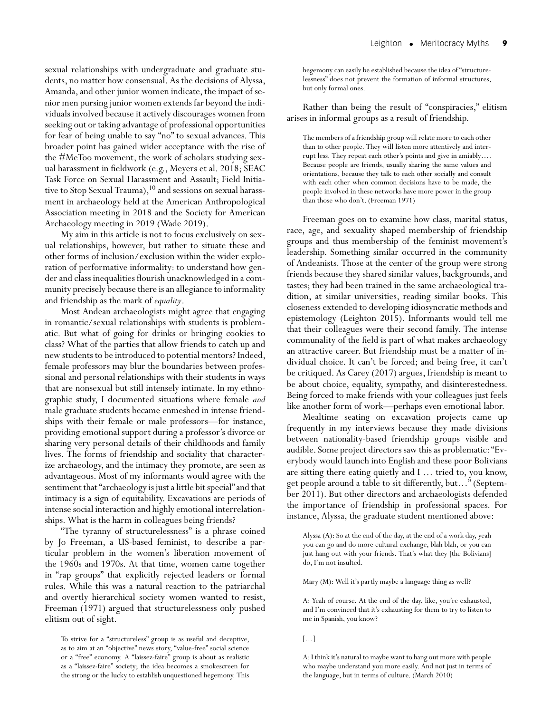sexual relationships with undergraduate and graduate students, no matter how consensual. As the decisions of Alyssa, Amanda, and other junior women indicate, the impact of senior men pursing junior women extends far beyond the individuals involved because it actively discourages women from seeking out or taking advantage of professional opportunities for fear of being unable to say "no" to sexual advances. This broader point has gained wider acceptance with the rise of the #MeToo movement, the work of scholars studying sexual harassment in fieldwork (e.g., Meyers et al. 2018; SEAC Task Force on Sexual Harassment and Assault; Field Initiative to Stop Sexual Trauma), $^{10}$  and sessions on sexual harassment in archaeology held at the American Anthropological Association meeting in 2018 and the Society for American Archaeology meeting in 2019 (Wade 2019).

My aim in this article is not to focus exclusively on sexual relationships, however, but rather to situate these and other forms of inclusion/exclusion within the wider exploration of performative informality: to understand how gender and class inequalities flourish unacknowledged in a community precisely because there is an allegiance to informality and friendship as the mark of *equality*.

Most Andean archaeologists might agree that engaging in romantic/sexual relationships with students is problematic. But what of going for drinks or bringing cookies to class? What of the parties that allow friends to catch up and new students to be introduced to potential mentors? Indeed, female professors may blur the boundaries between professional and personal relationships with their students in ways that are nonsexual but still intensely intimate. In my ethnographic study, I documented situations where female *and* male graduate students became enmeshed in intense friendships with their female or male professors—for instance, providing emotional support during a professor's divorce or sharing very personal details of their childhoods and family lives. The forms of friendship and sociality that characterize archaeology, and the intimacy they promote, are seen as advantageous. Most of my informants would agree with the sentiment that "archaeology is just a little bit special" and that intimacy is a sign of equitability. Excavations are periods of intense social interaction and highly emotional interrelationships. What is the harm in colleagues being friends?

"The tyranny of structurelessness" is a phrase coined by Jo Freeman, a US-based feminist, to describe a particular problem in the women's liberation movement of the 1960s and 1970s. At that time, women came together in "rap groups" that explicitly rejected leaders or formal rules. While this was a natural reaction to the patriarchal and overtly hierarchical society women wanted to resist, Freeman (1971) argued that structurelessness only pushed elitism out of sight.

hegemony can easily be established because the idea of "structurelessness" does not prevent the formation of informal structures, but only formal ones.

Rather than being the result of "conspiracies," elitism arises in informal groups as a result of friendship.

The members of a friendship group will relate more to each other than to other people. They will listen more attentively and interrupt less. They repeat each other's points and give in amiably…. Because people are friends, usually sharing the same values and orientations, because they talk to each other socially and consult with each other when common decisions have to be made, the people involved in these networks have more power in the group than those who don't. (Freeman 1971)

Freeman goes on to examine how class, marital status, race, age, and sexuality shaped membership of friendship groups and thus membership of the feminist movement's leadership. Something similar occurred in the community of Andeanists. Those at the center of the group were strong friends because they shared similar values, backgrounds, and tastes; they had been trained in the same archaeological tradition, at similar universities, reading similar books. This closeness extended to developing idiosyncratic methods and epistemology (Leighton 2015). Informants would tell me that their colleagues were their second family. The intense communality of the field is part of what makes archaeology an attractive career. But friendship must be a matter of individual choice. It can't be forced; and being free, it can't be critiqued. As Carey (2017) argues, friendship is meant to be about choice, equality, sympathy, and disinterestedness. Being forced to make friends with your colleagues just feels like another form of work—perhaps even emotional labor.

Mealtime seating on excavation projects came up frequently in my interviews because they made divisions between nationality-based friendship groups visible and audible. Some project directors saw this as problematic: "Everybody would launch into English and these poor Bolivians are sitting there eating quietly and I … tried to, you know, get people around a table to sit differently, but…" (September 2011). But other directors and archaeologists defended the importance of friendship in professional spaces. For instance, Alyssa, the graduate student mentioned above:

Alyssa (A): So at the end of the day, at the end of a work day, yeah you can go and do more cultural exchange, blah blah, or you can just hang out with your friends. That's what they [the Bolivians] do, I'm not insulted.

Mary (M): Well it's partly maybe a language thing as well?

A: Yeah of course. At the end of the day, like, you're exhausted, and I'm convinced that it's exhausting for them to try to listen to me in Spanish, you know?

 $[...]$ 

A: I think it's natural to maybe want to hang out more with people who maybe understand you more easily. And not just in terms of the language, but in terms of culture. (March 2010)

To strive for a "structureless" group is as useful and deceptive, as to aim at an "objective" news story, "value-free" social science or a "free" economy. A "laissez-faire" group is about as realistic as a "laissez-faire" society; the idea becomes a smokescreen for the strong or the lucky to establish unquestioned hegemony. This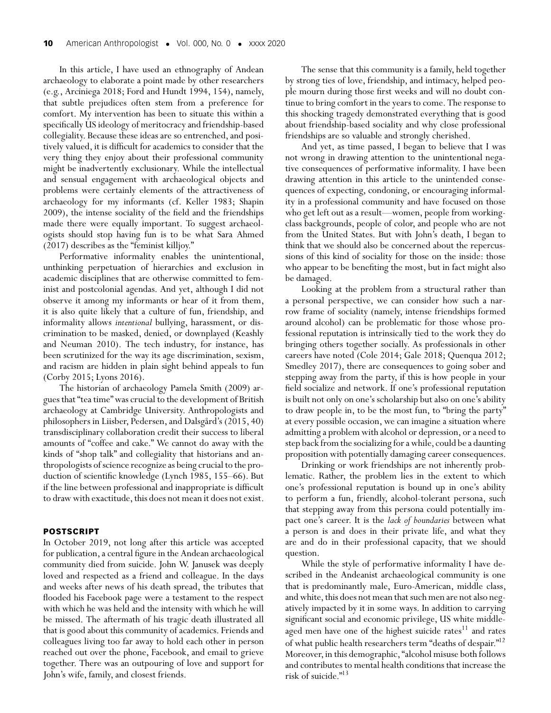In this article, I have used an ethnography of Andean archaeology to elaborate a point made by other researchers (e.g., Arciniega 2018; Ford and Hundt 1994, 154), namely, that subtle prejudices often stem from a preference for comfort. My intervention has been to situate this within a specifically US ideology of meritocracy and friendship-based collegiality. Because these ideas are so entrenched, and positively valued, it is difficult for academics to consider that the very thing they enjoy about their professional community might be inadvertently exclusionary. While the intellectual and sensual engagement with archaeological objects and problems were certainly elements of the attractiveness of archaeology for my informants (cf. Keller 1983; Shapin 2009), the intense sociality of the field and the friendships made there were equally important. To suggest archaeologists should stop having fun is to be what Sara Ahmed (2017) describes as the "feminist killjoy."

Performative informality enables the unintentional, unthinking perpetuation of hierarchies and exclusion in academic disciplines that are otherwise committed to feminist and postcolonial agendas. And yet, although I did not observe it among my informants or hear of it from them, it is also quite likely that a culture of fun, friendship, and informality allows *intentional* bullying, harassment, or discrimination to be masked, denied, or downplayed (Keashly and Neuman 2010). The tech industry, for instance, has been scrutinized for the way its age discrimination, sexism, and racism are hidden in plain sight behind appeals to fun (Corby 2015; Lyons 2016).

The historian of archaeology Pamela Smith (2009) argues that "tea time"was crucial to the development of British archaeology at Cambridge University. Anthropologists and philosophers in Liisber, Pedersen, and Dalsgård's (2015, 40) transdisciplinary collaboration credit their success to liberal amounts of "coffee and cake." We cannot do away with the kinds of "shop talk" and collegiality that historians and anthropologists of science recognize as being crucial to the production of scientific knowledge (Lynch 1985, 155–66). But if the line between professional and inappropriate is difficult to draw with exactitude, this does not mean it does not exist.

#### **POSTSCRIPT**

In October 2019, not long after this article was accepted for publication, a central figure in the Andean archaeological community died from suicide. John W. Janusek was deeply loved and respected as a friend and colleague. In the days and weeks after news of his death spread, the tributes that flooded his Facebook page were a testament to the respect with which he was held and the intensity with which he will be missed. The aftermath of his tragic death illustrated all that is good about this community of academics. Friends and colleagues living too far away to hold each other in person reached out over the phone, Facebook, and email to grieve together. There was an outpouring of love and support for John's wife, family, and closest friends.

The sense that this community is a family, held together by strong ties of love, friendship, and intimacy, helped people mourn during those first weeks and will no doubt continue to bring comfort in the years to come. The response to this shocking tragedy demonstrated everything that is good about friendship-based sociality and why close professional friendships are so valuable and strongly cherished.

And yet, as time passed, I began to believe that I was not wrong in drawing attention to the unintentional negative consequences of performative informality. I have been drawing attention in this article to the unintended consequences of expecting, condoning, or encouraging informality in a professional community and have focused on those who get left out as a result—women, people from workingclass backgrounds, people of color, and people who are not from the United States. But with John's death, I began to think that we should also be concerned about the repercussions of this kind of sociality for those on the inside: those who appear to be benefiting the most, but in fact might also be damaged.

Looking at the problem from a structural rather than a personal perspective, we can consider how such a narrow frame of sociality (namely, intense friendships formed around alcohol) can be problematic for those whose professional reputation is intrinsically tied to the work they do bringing others together socially. As professionals in other careers have noted (Cole 2014; Gale 2018; Quenqua 2012; Smedley 2017), there are consequences to going sober and stepping away from the party, if this is how people in your field socialize and network. If one's professional reputation is built not only on one's scholarship but also on one's ability to draw people in, to be the most fun, to "bring the party" at every possible occasion, we can imagine a situation where admitting a problem with alcohol or depression, or a need to step back from the socializing for a while, could be a daunting proposition with potentially damaging career consequences.

Drinking or work friendships are not inherently problematic. Rather, the problem lies in the extent to which one's professional reputation is bound up in one's ability to perform a fun, friendly, alcohol-tolerant persona, such that stepping away from this persona could potentially impact one's career. It is the *lack of boundaries* between what a person is and does in their private life, and what they are and do in their professional capacity, that we should question.

While the style of performative informality I have described in the Andeanist archaeological community is one that is predominantly male, Euro-American, middle class, and white, this does not mean that such men are not also negatively impacted by it in some ways. In addition to carrying significant social and economic privilege, US white middleaged men have one of the highest suicide rates<sup>11</sup> and rates of what public health researchers term "deaths of despair."12 Moreover, in this demographic, "alcohol misuse both follows and contributes to mental health conditions that increase the risk of suicide."13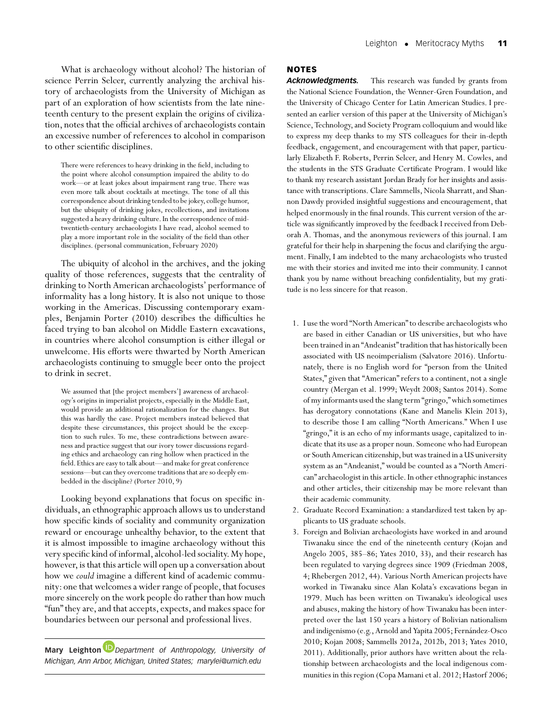What is archaeology without alcohol? The historian of science Perrin Selcer, currently analyzing the archival history of archaeologists from the University of Michigan as part of an exploration of how scientists from the late nineteenth century to the present explain the origins of civilization, notes that the official archives of archaeologists contain an excessive number of references to alcohol in comparison to other scientific disciplines.

There were references to heavy drinking in the field, including to the point where alcohol consumption impaired the ability to do work—or at least jokes about impairment rang true. There was even more talk about cocktails at meetings. The tone of all this correspondence about drinking tended to be jokey, college humor, but the ubiquity of drinking jokes, recollections, and invitations suggested a heavy drinking culture. In the correspondence of midtwentieth-century archaeologists I have read, alcohol seemed to play a more important role in the sociality of the field than other disciplines. (personal communication, February 2020)

The ubiquity of alcohol in the archives, and the joking quality of those references, suggests that the centrality of drinking to North American archaeologists' performance of informality has a long history. It is also not unique to those working in the Americas. Discussing contemporary examples, Benjamin Porter (2010) describes the difficulties he faced trying to ban alcohol on Middle Eastern excavations, in countries where alcohol consumption is either illegal or unwelcome. His efforts were thwarted by North American archaeologists continuing to smuggle beer onto the project to drink in secret.

We assumed that [the project members'] awareness of archaeology's origins in imperialist projects, especially in the Middle East, would provide an additional rationalization for the changes. But this was hardly the case. Project members instead believed that despite these circumstances, this project should be the exception to such rules. To me, these contradictions between awareness and practice suggest that our ivory tower discussions regarding ethics and archaeology can ring hollow when practiced in the field. Ethics are easy to talk about—and make for great conference sessions—but can they overcome traditions that are so deeply embedded in the discipline? (Porter 2010, 9)

Looking beyond explanations that focus on specific individuals, an ethnographic approach allows us to understand how specific kinds of sociality and community organization reward or encourage unhealthy behavior, to the extent that it is almost impossible to imagine archaeology without this very specific kind of informal, alcohol-led sociality.My hope, however, is that this article will open up a conversation about how we *could* imagine a different kind of academic community: one that welcomes a wider range of people, that focuses more sincerely on the work people do rather than how much "fun"they are, and that accepts, expects, and makes space for boundaries between our personal and professional lives.

**Mary Leighton** *[D](https://orcid.org/0000-0002-5743-1923)epartment of Anthropology, University of Michigan, Ann Arbor, Michigan, United States; marylei@umich.edu*

## **NOTES**

*Acknowledgments.* This research was funded by grants from the National Science Foundation, the Wenner-Gren Foundation, and the University of Chicago Center for Latin American Studies. I presented an earlier version of this paper at the University of Michigan's Science, Technology, and Society Program colloquium and would like to express my deep thanks to my STS colleagues for their in-depth feedback, engagement, and encouragement with that paper, particularly Elizabeth F. Roberts, Perrin Selcer, and Henry M. Cowles, and the students in the STS Graduate Certificate Program. I would like to thank my research assistant Jordan Brady for her insights and assistance with transcriptions. Clare Sammells, Nicola Sharratt, and Shannon Dawdy provided insightful suggestions and encouragement, that helped enormously in the final rounds. This current version of the article was significantly improved by the feedback I received from Deborah A. Thomas, and the anonymous reviewers of this journal. I am grateful for their help in sharpening the focus and clarifying the argument. Finally, I am indebted to the many archaeologists who trusted me with their stories and invited me into their community. I cannot thank you by name without breaching confidentiality, but my gratitude is no less sincere for that reason.

- 1. I use the word "North American"to describe archaeologists who are based in either Canadian or US universities, but who have been trained in an "Andeanist" tradition that has historically been associated with US neoimperialism (Salvatore 2016). Unfortunately, there is no English word for "person from the United States," given that "American" refers to a continent, not a single country (Mergan et al. 1999; Weydt 2008; Santos 2014). Some of my informants used the slang term "gringo,"which sometimes has derogatory connotations (Kane and Manelis Klein 2013), to describe those I am calling "North Americans." When I use "gringo," it is an echo of my informants usage, capitalized to indicate that its use as a proper noun. Someone who had European or South American citizenship, but was trained in a US university system as an "Andeanist," would be counted as a "North American" archaeologist in this article. In other ethnographic instances and other articles, their citizenship may be more relevant than their academic community.
- 2. Graduate Record Examination: a standardized test taken by applicants to US graduate schools.
- 3. Foreign and Bolivian archaeologists have worked in and around Tiwanaku since the end of the nineteenth century (Kojan and Angelo 2005, 385–86; Yates 2010, 33), and their research has been regulated to varying degrees since 1909 (Friedman 2008, 4; Rhebergen 2012, 44). Various North American projects have worked in Tiwanaku since Alan Kolata's excavations began in 1979. Much has been written on Tiwanaku's ideological uses and abuses, making the history of how Tiwanaku has been interpreted over the last 150 years a history of Bolivian nationalism and indigenismo (e.g., Arnold and Yapita 2005; Fernández-Osco 2010; Kojan 2008; Sammells 2012a, 2012b, 2013; Yates 2010, 2011). Additionally, prior authors have written about the relationship between archaeologists and the local indigenous communities in this region (Copa Mamani et al. 2012; Hastorf 2006;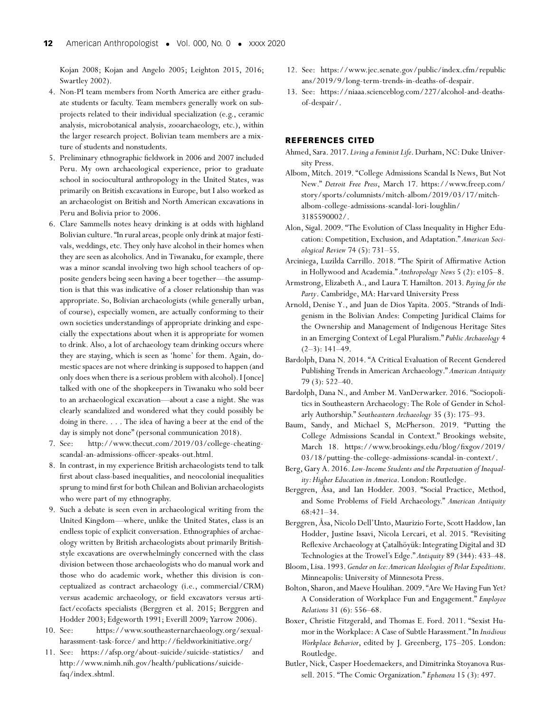Kojan 2008; Kojan and Angelo 2005; Leighton 2015, 2016; Swartley 2002).

- 4. Non-PI team members from North America are either graduate students or faculty. Team members generally work on subprojects related to their individual specialization (e.g., ceramic analysis, microbotanical analysis, zooarchaeology, etc.), within the larger research project. Bolivian team members are a mixture of students and nonstudents.
- 5. Preliminary ethnographic fieldwork in 2006 and 2007 included Peru. My own archaeological experience, prior to graduate school in sociocultural anthropology in the United States, was primarily on British excavations in Europe, but I also worked as an archaeologist on British and North American excavations in Peru and Bolivia prior to 2006.
- 6. Clare Sammells notes heavy drinking is at odds with highland Bolivian culture. "In rural areas, people only drink at major festivals, weddings, etc. They only have alcohol in their homes when they are seen as alcoholics. And in Tiwanaku, for example, there was a minor scandal involving two high school teachers of opposite genders being seen having a beer together—the assumption is that this was indicative of a closer relationship than was appropriate. So, Bolivian archaeologists (while generally urban, of course), especially women, are actually conforming to their own societies understandings of appropriate drinking and especially the expectations about when it is appropriate for women to drink. Also, a lot of archaeology team drinking occurs where they are staying, which is seen as 'home' for them. Again, domestic spaces are not where drinking is supposed to happen (and only does when there is a serious problem with alcohol). I [once] talked with one of the shopkeepers in Tiwanaku who sold beer to an archaeological excavation—about a case a night. She was clearly scandalized and wondered what they could possibly be doing in there. . . . The idea of having a beer at the end of the day is simply not done" (personal communication 2018).
- 7. See: [http://www.thecut.com/2019/03/college-cheating](http://www.thecut.com/2019/03/college-cheating-scandal-an-admissions-officer-speaks-out.html)[scandal-an-admissions-officer-speaks-out.html.](http://www.thecut.com/2019/03/college-cheating-scandal-an-admissions-officer-speaks-out.html)
- 8. In contrast, in my experience British archaeologists tend to talk first about class-based inequalities, and neocolonial inequalities sprung to mind first for both Chilean and Bolivian archaeologists who were part of my ethnography.
- 9. Such a debate is seen even in archaeological writing from the United Kingdom—where, unlike the United States, class is an endless topic of explicit conversation. Ethnographies of archaeology written by British archaeologists about primarily Britishstyle excavations are overwhelmingly concerned with the class division between those archaeologists who do manual work and those who do academic work, whether this division is conceptualized as contract archaeology (i.e., commercial/CRM) versus academic archaeology, or field excavators versus artifact/ecofacts specialists (Berggren et al. 2015; Berggren and Hodder 2003; Edgeworth 1991; Everill 2009; Yarrow 2006).
- 10. See: [https://www.southeasternarchaeology.org/sexual](https://www.southeasternarchaeology.org/sexual-harassment-task-force/)[harassment-task-force/](https://www.southeasternarchaeology.org/sexual-harassment-task-force/) and<http://fieldworkinitiative.org/>
- 11. See:<https://afsp.org/about-suicide/suicide-statistics/> and [http://www.nimh.nih.gov/health/publications/suicide](http://www.nimh.nih.gov/health/publications/suicide-faq/index.shtml)[faq/index.shtml.](http://www.nimh.nih.gov/health/publications/suicide-faq/index.shtml)
- 12. See: [https://www.jec.senate.gov/public/index.cfm/republic](https://www.jec.senate.gov/public/index.cfm/republicans/2019/9/long-term-trends-in-deaths-of-despair) [ans/2019/9/long-term-trends-in-deaths-of-despair.](https://www.jec.senate.gov/public/index.cfm/republicans/2019/9/long-term-trends-in-deaths-of-despair)
- 13. See: [https://niaaa.scienceblog.com/227/alcohol-and-deaths](https://niaaa.scienceblog.com/227/alcohol-and-deaths-of-despair/)[of-despair/.](https://niaaa.scienceblog.com/227/alcohol-and-deaths-of-despair/)

## **REFERENCES CITED**

- Ahmed, Sara. 2017. *Living a Feminist Life*. Durham, NC: Duke University Press.
- Albom, Mitch. 2019. "College Admissions Scandal Is News, But Not New." *Detroit Free Press*, March 17. [https://www.freep.com/](https://www.freep.com/story/sports/columnists/mitch-albom/2019/03/17/mitch-albom-college-admissions-scandal-lori-loughlin/3185590002/) [story/sports/columnists/mitch-albom/2019/03/17/mitch](https://www.freep.com/story/sports/columnists/mitch-albom/2019/03/17/mitch-albom-college-admissions-scandal-lori-loughlin/3185590002/)[albom-college-admissions-scandal-lori-loughlin/](https://www.freep.com/story/sports/columnists/mitch-albom/2019/03/17/mitch-albom-college-admissions-scandal-lori-loughlin/3185590002/) [3185590002/.](https://www.freep.com/story/sports/columnists/mitch-albom/2019/03/17/mitch-albom-college-admissions-scandal-lori-loughlin/3185590002/)
- Alon, Sigal. 2009. "The Evolution of Class Inequality in Higher Education: Competition, Exclusion, and Adaptation." *American Sociological Review* 74 (5): 731–55.
- Arciniega, Luzilda Carrillo. 2018. "The Spirit of Affirmative Action in Hollywood and Academia." *Anthropology News* 5 (2): e105–8.
- Armstrong, Elizabeth A., and Laura T. Hamilton. 2013. *Paying for the Party*. Cambridge, MA: Harvard University Press
- Arnold, Denise Y., and Juan de Dios Yapita. 2005. "Strands of Indigenism in the Bolivian Andes: Competing Juridical Claims for the Ownership and Management of Indigenous Heritage Sites in an Emerging Context of Legal Pluralism." *Public Archaeology* 4  $(2-3)$ : 141-49.
- Bardolph, Dana N. 2014. "A Critical Evaluation of Recent Gendered Publishing Trends in American Archaeology." *American Antiquity* 79 (3): 522–40.
- Bardolph, Dana N., and Amber M. VanDerwarker. 2016. "Sociopolitics in Southeastern Archaeology: The Role of Gender in Scholarly Authorship." *Southeastern Archaeology* 35 (3): 175–93.
- Baum, Sandy, and Michael S, McPherson. 2019. "Putting the College Admissions Scandal in Context." Brookings website, March 18. [https://www.brookings.edu/blog/fixgov/2019/](https://www.brookings.edu/blog/fixgov/2019/03/18/putting-the-college-admissions-scandal-in-context/) [03/18/putting-the-college-admissions-scandal-in-context/.](https://www.brookings.edu/blog/fixgov/2019/03/18/putting-the-college-admissions-scandal-in-context/)
- Berg, Gary A. 2016. *Low-Income Students and the Perpetuation of Inequality: Higher Education in America*. London: Routledge.
- Berggren, Åsa, and Ian Hodder. 2003. "Social Practice, Method, and Some Problems of Field Archaeology." *American Antiquity* 68:421–34.
- Berggren, Åsa, Nicolo Dell'Unto, Maurizio Forte, Scott Haddow, Ian Hodder, Justine Issavi, Nicola Lercari, et al. 2015. "Revisiting Reflexive Archaeology at Çatalhöyük: Integrating Digital and 3D Technologies at the Trowel's Edge." *Antiquity* 89 (344): 433–48.
- Bloom, Lisa. 1993. *Gender on Ice:American Ideologies of Polar Expeditions*. Minneapolis: University of Minnesota Press.
- Bolton, Sharon, and Maeve Houlihan. 2009. "Are We Having Fun Yet? A Consideration of Workplace Fun and Engagement." *Employee Relations* 31 (6): 556–68.
- Boxer, Christie Fitzgerald, and Thomas E. Ford. 2011. "Sexist Humor in the Workplace: A Case of Subtle Harassment." In *Insidious Workplace Behavior*, edited by J. Greenberg, 175–205. London: Routledge.
- Butler, Nick, Casper Hoedemaekers, and Dimitrinka Stoyanova Russell. 2015. "The Comic Organization." *Ephemera* 15 (3): 497.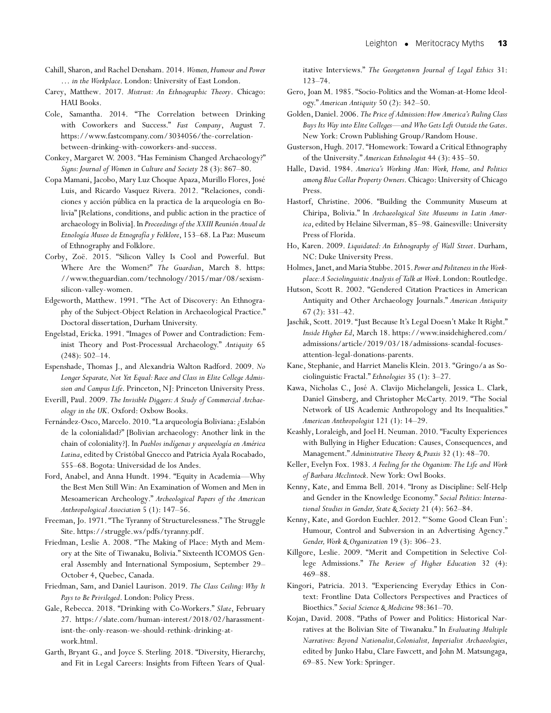- Cahill, Sharon, and Rachel Densham. 2014. *Women,Humour and Power … in the Workplace*. London: University of East London.
- Carey, Matthew. 2017. *Mistrust: An Ethnographic Theory*. Chicago: HAU Books.
- Cole, Samantha. 2014. "The Correlation between Drinking with Coworkers and Success." *Fast Company*, August 7. [https://www.fastcompany.com/3034056/the-correlation](https://www.fastcompany.com/3034056/the-correlation-between-drinking-with-coworkers-and-success)[between-drinking-with-coworkers-and-success.](https://www.fastcompany.com/3034056/the-correlation-between-drinking-with-coworkers-and-success)
- Conkey, Margaret W. 2003. "Has Feminism Changed Archaeology?" *Signs:Journal of Women in Culture and Society* 28 (3): 867–80.
- Copa Mamani, Jacobo, Mary Luz Choque Apaza, Murillo Flores, José Luis, and Ricardo Vasquez Rivera. 2012. "Relaciones, condiciones y acción pública en la practica de la arqueología en Bolivia" [Relations, conditions, and public action in the practice of archaeology in Bolivia].In *Proceedings of the XXIII Reunión Anual de Etnología Museo de Etnografía y Folklore*, 153–68. La Paz: Museum of Ethnography and Folklore.
- Corby, Zoë. 2015. "Silicon Valley Is Cool and Powerful. But Where Are the Women?" *The Guardian*, March 8. [https:](https://www.theguardian.com/technology/2015/mar/08/sexism-silicon-valley-women) [//www.theguardian.com/technology/2015/mar/08/sexism](https://www.theguardian.com/technology/2015/mar/08/sexism-silicon-valley-women)[silicon-valley-women.](https://www.theguardian.com/technology/2015/mar/08/sexism-silicon-valley-women)
- Edgeworth, Matthew. 1991. "The Act of Discovery: An Ethnography of the Subject-Object Relation in Archaeological Practice." Doctoral dissertation, Durham University.
- Engelstad, Ericka. 1991. "Images of Power and Contradiction: Feminist Theory and Post-Processual Archaeology." *Antiquity* 65 (248): 502–14.
- Espenshade, Thomas J., and Alexandria Walton Radford. 2009. *No Longer Separate, Not Yet Equal: Race and Class in Elite College Admission and Campus Life*. Princeton, NJ: Princeton University Press.
- Everill, Paul. 2009. *The Invisible Diggers: A Study of Commercial Archaeology in the UK*. Oxford: Oxbow Books.
- Fernández-Osco, Marcelo. 2010. "La arqueología Boliviana: ¿Eslabón de la colonialidad?" [Bolivian archaeology: Another link in the chain of coloniality?]. In *Pueblos indígenas y arqueología en América Latina*, edited by Cristóbal Gnecco and Patricia Ayala Rocabado, 555–68. Bogota: Universidad de los Andes.
- Ford, Anabel, and Anna Hundt. 1994. "Equity in Academia—Why the Best Men Still Win: An Examination of Women and Men in Mesoamerican Archeology." *Archeological Papers of the American Anthropological Association* 5 (1): 147–56.
- Freeman, Jo. 1971. "The Tyranny of Structurelessness." The Struggle Site. [https://struggle.ws/pdfs/tyranny.pdf.](https://struggle.ws/pdfs/tyranny.pdf)
- Friedman, Leslie A. 2008. "The Making of Place: Myth and Memory at the Site of Tiwanaku, Bolivia." Sixteenth ICOMOS General Assembly and International Symposium, September 29– October 4, Quebec, Canada.
- Friedman, Sam, and Daniel Laurison. 2019. *The Class Ceiling: Why It Pays to Be Privileged*. London: Policy Press.
- Gale, Rebecca. 2018. "Drinking with Co-Workers." *Slate*, February 27. [https://slate.com/human-interest/2018/02/harassment](https://slate.com/human-interest/2018/02/harassment-isnt-the-only-reason-we-should-rethink-drinking-at-work.html)[isnt-the-only-reason-we-should-rethink-drinking-at](https://slate.com/human-interest/2018/02/harassment-isnt-the-only-reason-we-should-rethink-drinking-at-work.html)[work.html.](https://slate.com/human-interest/2018/02/harassment-isnt-the-only-reason-we-should-rethink-drinking-at-work.html)
- Garth, Bryant G., and Joyce S. Sterling. 2018. "Diversity, Hierarchy, and Fit in Legal Careers: Insights from Fifteen Years of Qual-

itative Interviews." *The Georgetonwn Journal of Legal Ethics* 31: 123–74.

- Gero, Joan M. 1985. "Socio-Politics and the Woman-at-Home Ideology." *American Antiquity* 50 (2): 342–50.
- Golden, Daniel. 2006. *The Price of Admission:How America's Ruling Class Buys Its Way into Elite Colleges—and Who Gets Left Outside the Gates*. New York: Crown Publishing Group/Random House.
- Gusterson, Hugh. 2017. "Homework: Toward a Critical Ethnography of the University." *American Ethnologist* 44 (3): 435–50.
- Halle, David. 1984. *America's Working Man: Work, Home, and Politics among Blue Collar Property Owners*. Chicago:University of Chicago Press.
- Hastorf, Christine. 2006. "Building the Community Museum at Chiripa, Bolivia." In *Archaeological Site Museums in Latin America*, edited by Helaine Silverman, 85–98. Gainesville: University Press of Florida.
- Ho, Karen. 2009. *Liquidated: An Ethnography of Wall Street*. Durham, NC: Duke University Press.
- Holmes, Janet, and Maria Stubbe.2015. *Power and Politeness in the Workplace:A Sociolinguistic Analysis of Talk at Work*. London: Routledge.
- Hutson, Scott R. 2002. "Gendered Citation Practices in American Antiquity and Other Archaeology Journals." *American Antiquity* 67 (2): 331–42.
- Jaschik, Scott. 2019. "Just Because It's Legal Doesn't Make It Right." *Inside Higher Ed*, March 18. [https://www.insidehighered.com/](https://www.insidehighered.com/admissions/article/2019/03/18/admissions-scandal-focuses-attention-legal-donations-parents) [admissions/article/2019/03/18/admissions-scandal-focuses](https://www.insidehighered.com/admissions/article/2019/03/18/admissions-scandal-focuses-attention-legal-donations-parents)[attention-legal-donations-parents.](https://www.insidehighered.com/admissions/article/2019/03/18/admissions-scandal-focuses-attention-legal-donations-parents)
- Kane, Stephanie, and Harriet Manelis Klein. 2013. "Gringo/a as Sociolinguistic Fractal." *Ethnologies* 35 (1): 3–27.
- Kawa, Nicholas C., José A. Clavijo Michelangeli, Jessica L. Clark, Daniel Ginsberg, and Christopher McCarty. 2019. "The Social Network of US Academic Anthropology and Its Inequalities." *American Anthropologist* 121 (1): 14–29.
- Keashly, Loraleigh, and Joel H. Neuman. 2010. "Faculty Experiences with Bullying in Higher Education: Causes, Consequences, and Management." *Administrative Theory & Praxis* 32 (1): 48–70.
- Keller, Evelyn Fox. 1983. *A Feeling for the Organism: The Life and Work of Barbara Mcclintock*. New York: Owl Books.
- Kenny, Kate, and Emma Bell. 2014. "Irony as Discipline: Self-Help and Gender in the Knowledge Economy." *Social Politics: International Studies in Gender, State & Society* 21 (4): 562–84.
- Kenny, Kate, and Gordon Euchler. 2012. "'Some Good Clean Fun': Humour, Control and Subversion in an Advertising Agency." *Gender, Work & Organization* 19 (3): 306–23.
- Killgore, Leslie. 2009. "Merit and Competition in Selective College Admissions." *The Review of Higher Education* 32 (4): 469–88.
- Kingori, Patricia. 2013. "Experiencing Everyday Ethics in Context: Frontline Data Collectors Perspectives and Practices of Bioethics." *Social Science & Medicine* 98:361–70.
- Kojan, David. 2008. "Paths of Power and Politics: Historical Narratives at the Bolivian Site of Tiwanaku." In *Evaluating Multiple Narratives: Beyond Nationalist,Colonialist, Imperialist Archaeologies*, edited by Junko Habu, Clare Fawcett, and John M. Matsungaga, 69–85. New York: Springer.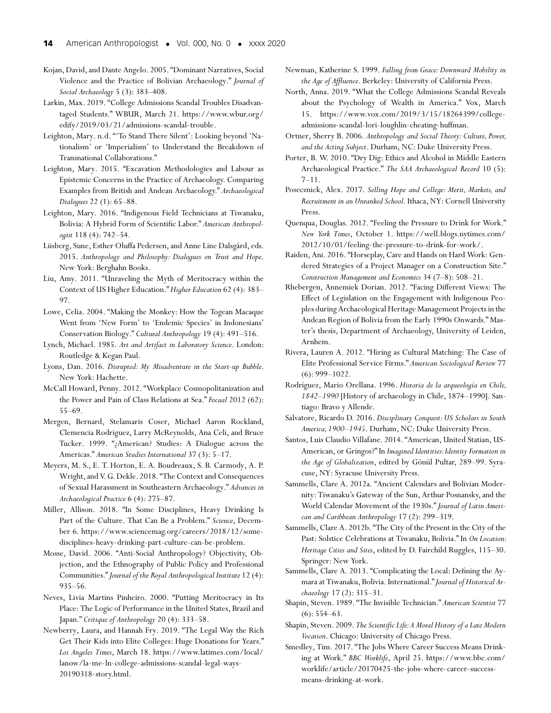Kojan, David, and Dante Angelo. 2005. "Dominant Narratives, Social Violence and the Practice of Bolivian Archaeology." *Journal of Social Archaeology* 5 (3): 383–408.

Larkin, Max. 2019. "College Admissions Scandal Troubles Disadvantaged Students." WBUR, March 21. [https://www.wbur.org/](https://www.wbur.org/edify/2019/03/21/admissions-scandal-trouble) [edify/2019/03/21/admissions-scandal-trouble.](https://www.wbur.org/edify/2019/03/21/admissions-scandal-trouble)

Leighton, Mary. n.d. "'To Stand There Silent': Looking beyond 'Nationalism' or 'Imperialism' to Understand the Breakdown of Transnational Collaborations."

Leighton, Mary. 2015. "Excavation Methodologies and Labour as Epistemic Concerns in the Practice of Archaeology. Comparing Examples from British and Andean Archaeology." *Archaeological Dialogues* 22 (1): 65–88.

Leighton, Mary. 2016. "Indigenous Field Technicians at Tiwanaku, Bolivia: A Hybrid Form of Scientific Labor." *American Anthropologist* 118 (4): 742–54.

Liisberg, Sune, Esther Oluffa Pedersen, and Anne Line Dalsgård, eds. 2015. *Anthropology and Philosophy: Dialogues on Trust and Hope*. New York: Berghahn Books.

Liu, Amy. 2011. "Unraveling the Myth of Meritocracy within the Context of US Higher Education." *Higher Education* 62 (4): 383– 97.

Lowe, Celia. 2004. "Making the Monkey: How the Togean Macaque Went from 'New Form' to 'Endemic Species' in Indonesians' Conservation Biology." *Cultural Anthropology* 19 (4): 491–516.

Lynch, Michael. 1985. *Art and Artifact in Laboratory Science*. London: Routledge & Kegan Paul.

Lyons, Dan. 2016. *Disrupted: My Misadventure in the Start-up Bubble*. New York: Hachette.

McCall Howard, Penny. 2012. "Workplace Cosmopolitanization and the Power and Pain of Class Relations at Sea." *Focaal* 2012 (62): 55–69.

Mergen, Bernard, Stelamaris Coser, Michael Aaron Rockland, Clemencia Rodriguez, Larry McReynolds, Ana Celi, and Bruce Tucker. 1999. "¿American? Studies: A Dialogue across the Americas." *American Studies International* 37 (3): 5–17.

Meyers, M. S., E. T. Horton, E. A. Boudreaux, S. B. Carmody, A. P. Wright, and V.G.Dekle. 2018. "The Context and Consequences of Sexual Harassment in Southeastern Archaeology." *Advances in Archaeological Practice* 6 (4): 275–87.

Miller, Allison. 2018. "In Some Disciplines, Heavy Drinking Is Part of the Culture. That Can Be a Problem." *Science*, December 6. [https://www.sciencemag.org/careers/2018/12/some](https://www.sciencemag.org/careers/2018/12/some-disciplines-heavy-drinking-part-culture-can-be-problem)[disciplines-heavy-drinking-part-culture-can-be-problem.](https://www.sciencemag.org/careers/2018/12/some-disciplines-heavy-drinking-part-culture-can-be-problem)

Mosse, David. 2006. "Anti-Social Anthropology? Objectivity, Objection, and the Ethnography of Public Policy and Professional Communities."*Journal of the Royal Anthropological Institute* 12 (4): 935–56.

Neves, Livia Martins Pinheiro. 2000. "Putting Meritocracy in Its Place: The Logic of Performance in the United States, Brazil and Japan." *Critique of Anthropology* 20 (4): 333–58.

Newberry, Laura, and Hannah Fry. 2019. "The Legal Way the Rich Get Their Kids into Elite Colleges: Huge Donations for Years." *Los Angeles Times*, March 18. [https://www.latimes.com/local/](https://www.latimes.com/local/lanow/la-me-ln-college-admissions-scandal-legal-ways-20190318-story.html) [lanow/la-me-ln-college-admissions-scandal-legal-ways-](https://www.latimes.com/local/lanow/la-me-ln-college-admissions-scandal-legal-ways-20190318-story.html)[20190318-story.html.](https://www.latimes.com/local/lanow/la-me-ln-college-admissions-scandal-legal-ways-20190318-story.html)

Newman, Katherine S. 1999. *Falling from Grace: Downward Mobility in the Age of Affluence*. Berkeley: University of California Press.

North, Anna. 2019. "What the College Admissions Scandal Reveals about the Psychology of Wealth in America." Vox, March 15. [https://www.vox.com/2019/3/15/18264399/college](https://www.vox.com/2019/3/15/18264399/college-admissions-scandal-lori-loughlin-cheating-huffman)[admissions-scandal-lori-loughlin-cheating-huffman.](https://www.vox.com/2019/3/15/18264399/college-admissions-scandal-lori-loughlin-cheating-huffman)

Ortner, Sherry B. 2006. *Anthropology and Social Theory: Culture, Power, and the Acting Subject*. Durham, NC: Duke University Press.

Porter, B. W. 2010. "Dry Dig: Ethics and Alcohol in Middle Eastern Archaeological Practice." *The SAA Archaeological Record* 10 (5):  $7-11$ .

Posecznick, Alex. 2017. *Selling Hope and College: Merit, Markets, and Recruitment in an Unranked School*. Ithaca, NY: Cornell University Press.

Quenqua, Douglas. 2012. "Feeling the Pressure to Drink for Work." *New York Times*, October 1. [https://well.blogs.nytimes.com/](https://well.blogs.nytimes.com/2012/10/01/feeling-the-pressure-to-drink-for-work/) [2012/10/01/feeling-the-pressure-to-drink-for-work/.](https://well.blogs.nytimes.com/2012/10/01/feeling-the-pressure-to-drink-for-work/)

Raiden, Ani. 2016. "Horseplay, Care and Hands on Hard Work: Gendered Strategies of a Project Manager on a Construction Site." *Construction Management and Economics* 34 (7–8): 508–21.

Rhebergen, Annemiek Dorian. 2012. "Facing Different Views: The Effect of Legislation on the Engagement with Indigenous Peoples during Archaeological Heritage Management Projects in the Andean Region of Bolivia from the Early 1990s Onwards." Master's thesis, Department of Archaeology, University of Leiden, Arnhem.

Rivera, Lauren A. 2012. "Hiring as Cultural Matching: The Case of Elite Professional Service Firms." *American Sociological Review* 77 (6): 999–1022.

Rodríguez, Mario Orellana. 1996. *Historia de la arqueología en Chile, 1842–1990* [History of archaeology in Chile, 1874–1990]. Santiago: Bravo y Allende.

Salvatore, Ricardo D. 2016. *Disciplinary Conquest: US Scholars in South America, 1900–1945*. Durham, NC: Duke University Press.

Santos, Luis Claudio Villafane. 2014. "American, United Statian, US-American, or Gringos?" In *Imagined Identities: Identity Formation in the Age of Globalization*, edited by Gönül Pultar, 289–99. Syracuse, NY: Syracuse University Press.

Sammells, Clare A. 2012a. "Ancient Calendars and Bolivian Modernity: Tiwanaku's Gateway of the Sun, Arthur Posnansky, and the World Calendar Movement of the 1930s." *Journal of Latin American and Caribbean Anthropology* 17 (2): 299–319.

Sammells, Clare A. 2012b. "The City of the Present in the City of the Past: Solstice Celebrations at Tiwanaku, Bolivia." In *On Location: Heritage Cities and Sites*, edited by D. Fairchild Ruggles, 115–30. Springer: New York.

Sammells, Clare A. 2013. "Complicating the Local: Defining the Aymara at Tiwanaku, Bolivia. International."*Journal of Historical Archaeology* 17 (2): 315–31.

Shapin, Steven. 1989. "The Invisible Technician." *American Scientist* 77  $(6): 554–63.$ 

Shapin, Steven. 2009. *The Scientific Life:A Moral History of a Late Modern Vocation*. Chicago: University of Chicago Press.

Smedley, Tim. 2017. "The Jobs Where Career Success Means Drinking at Work." *BBC Worklife*, April 25. [https://www.bbc.com/](https://www.bbc.com/worklife/article/20170425-the-jobs-where-career-success-means-drinking-at-work) [worklife/article/20170425-the-jobs-where-career-success](https://www.bbc.com/worklife/article/20170425-the-jobs-where-career-success-means-drinking-at-work)[means-drinking-at-work.](https://www.bbc.com/worklife/article/20170425-the-jobs-where-career-success-means-drinking-at-work)